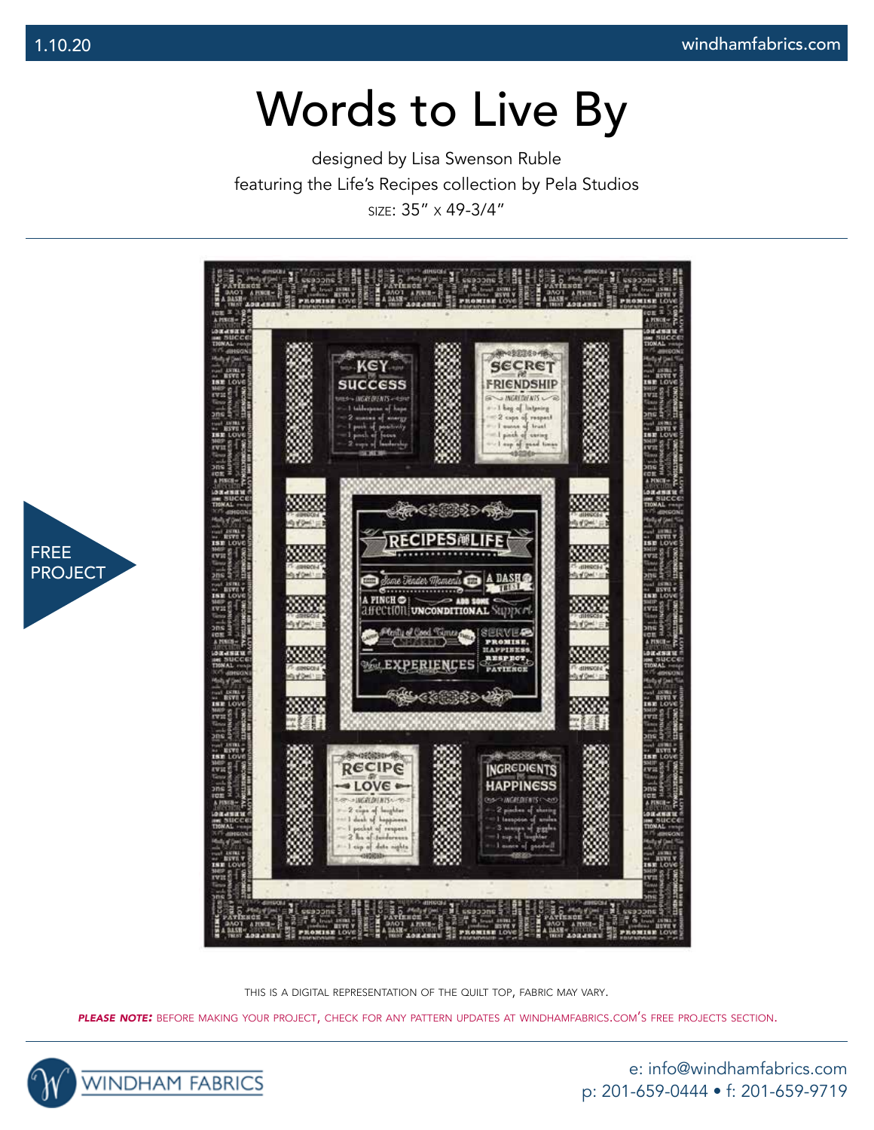designed by Lisa Swenson Ruble featuring the Life's Recipes collection by Pela Studios size: 35" x 49-3/4"



this is <sup>a</sup> digital representation of the quilt top, fabric may vary.

*please note:* before making your project, check for any pattern updates at windhamfabrics.com's free projects section.



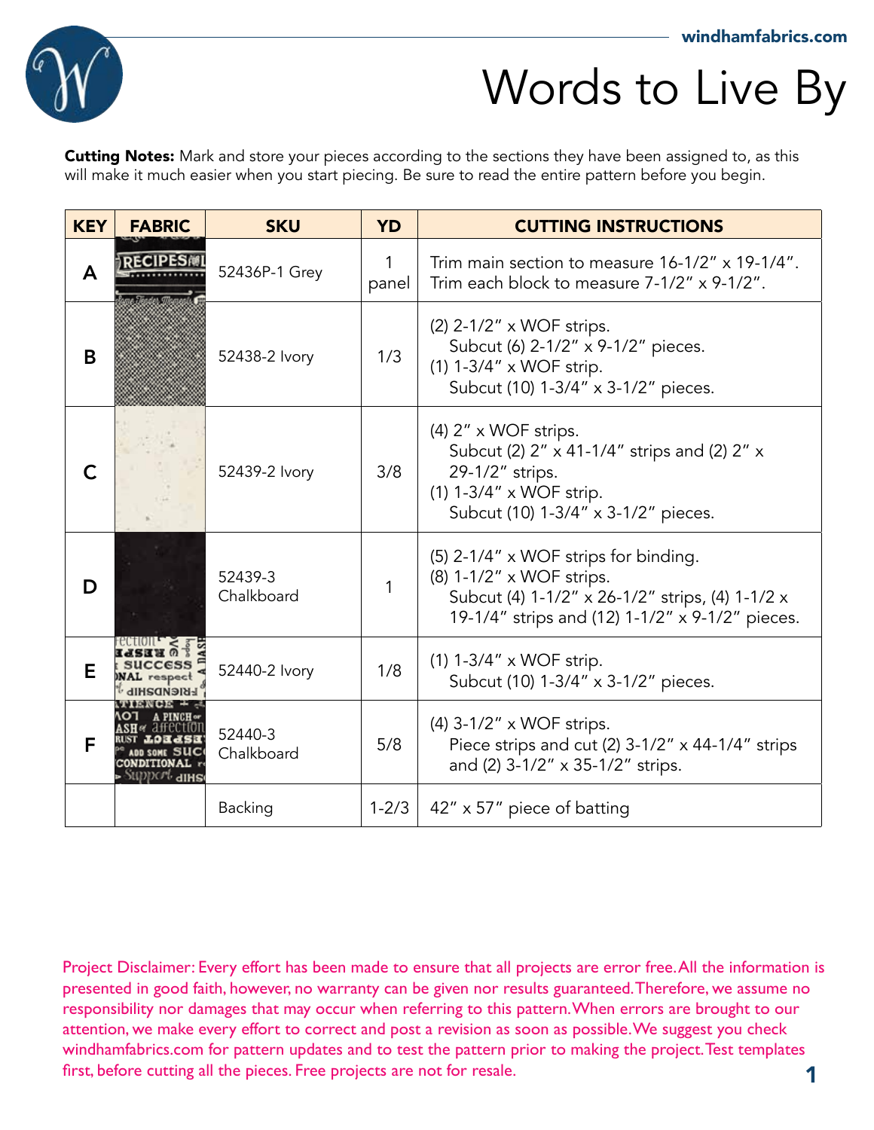

**Cutting Notes:** Mark and store your pieces according to the sections they have been assigned to, as this will make it much easier when you start piecing. Be sure to read the entire pattern before you begin.

| <b>KEY</b> | <b>FABRIC</b>                       | <b>SKU</b>            | <b>YD</b>  | <b>CUTTING INSTRUCTIONS</b>                                                                                                                                            |
|------------|-------------------------------------|-----------------------|------------|------------------------------------------------------------------------------------------------------------------------------------------------------------------------|
| A          | <b>RECIPES®</b>                     | 52436P-1 Grey         | 1<br>panel | Trim main section to measure 16-1/2" x 19-1/4".<br>Trim each block to measure 7-1/2" x 9-1/2".                                                                         |
| B          |                                     | 52438-2 Ivory         | 1/3        | (2) 2-1/2" x WOF strips.<br>Subcut (6) 2-1/2" x 9-1/2" pieces.<br>(1) 1-3/4" x WOF strip.<br>Subcut (10) 1-3/4" x 3-1/2" pieces.                                       |
| C          |                                     | 52439-2 Ivory         | 3/8        | $(4)$ 2" x WOF strips.<br>Subcut (2) 2" x 41-1/4" strips and (2) 2" x<br>29-1/2" strips.<br>(1) 1-3/4" x WOF strip.<br>Subcut (10) 1-3/4" x 3-1/2" pieces.             |
| D          |                                     | 52439-3<br>Chalkboard |            | (5) 2-1/4" x WOF strips for binding.<br>(8) 1-1/2" x WOF strips.<br>Subcut (4) 1-1/2" x 26-1/2" strips, (4) 1-1/2 x<br>19-1/4" strips and (12) 1-1/2" x 9-1/2" pieces. |
| Е          | <b>SUCCESS</b><br><b>NAL</b> respec | 52440-2 Ivory         | 1/8        | $(1)$ 1-3/4" x WOF strip.<br>Subcut (10) 1-3/4" x 3-1/2" pieces.                                                                                                       |
| F          |                                     | 52440-3<br>Chalkboard | 5/8        | $(4)$ 3-1/2" x WOF strips.<br>Piece strips and cut (2) 3-1/2" x 44-1/4" strips<br>and (2) 3-1/2" x 35-1/2" strips.                                                     |
|            |                                     | Backing               | $1 - 2/3$  | 42" x 57" piece of batting                                                                                                                                             |

1 Project Disclaimer: Every effort has been made to ensure that all projects are error free. All the information is presented in good faith, however, no warranty can be given nor results guaranteed. Therefore, we assume no responsibility nor damages that may occur when referring to this pattern. When errors are brought to our attention, we make every effort to correct and post a revision as soon as possible. We suggest you check windhamfabrics.com for pattern updates and to test the pattern prior to making the project. Test templates first, before cutting all the pieces. Free projects are not for resale.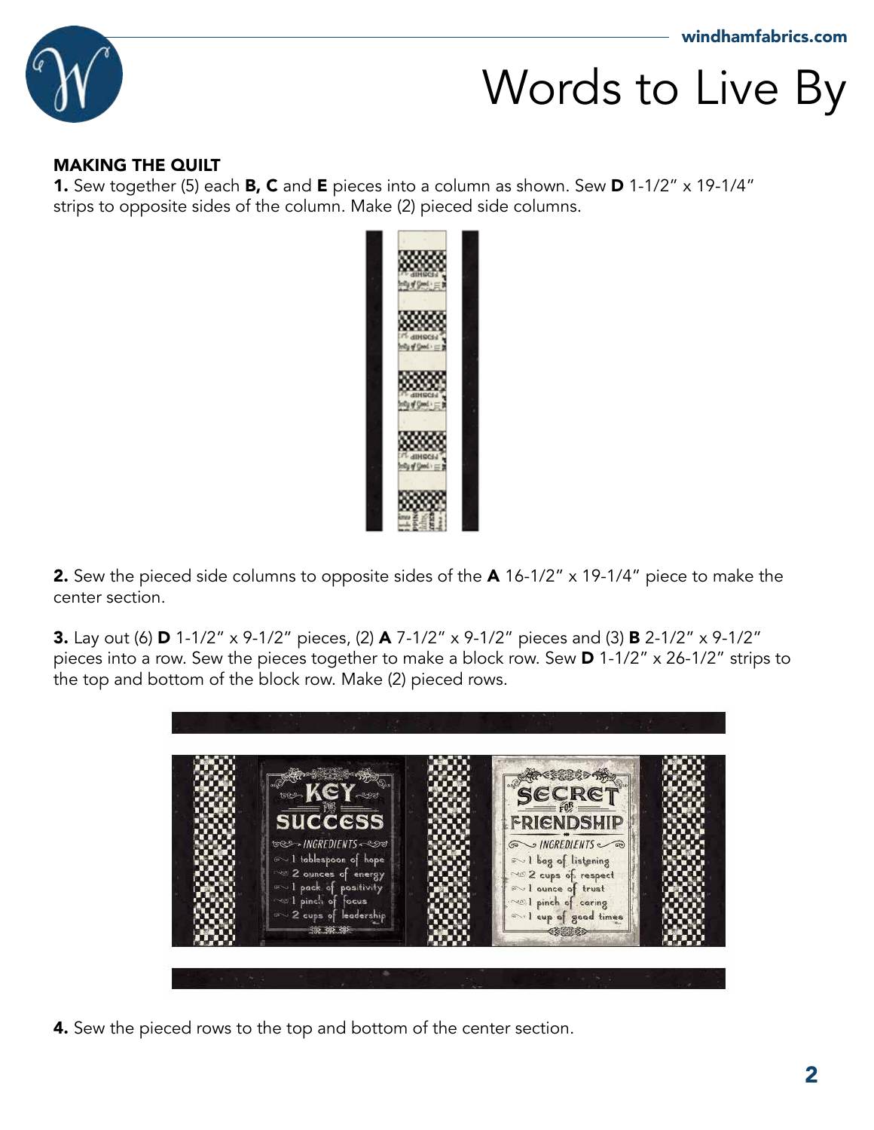

#### MAKING THE QUILT

**1.** Sew together (5) each **B, C** and **E** pieces into a column as shown. Sew **D** 1-1/2" x 19-1/4" strips to opposite sides of the column. Make (2) pieced side columns.



2. Sew the pieced side columns to opposite sides of the A 16-1/2" x 19-1/4" piece to make the center section.

3. Lay out (6) D 1-1/2" x 9-1/2" pieces, (2) A 7-1/2" x 9-1/2" pieces and (3) B 2-1/2" x 9-1/2" pieces into a row. Sew the pieces together to make a block row. Sew D 1-1/2" x 26-1/2" strips to the top and bottom of the block row. Make (2) pieced rows.



4. Sew the pieced rows to the top and bottom of the center section.